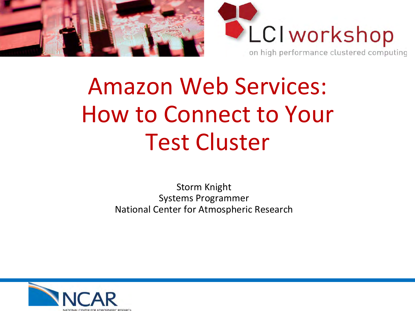



# Amazon Web Services: How to Connect to Your Test Cluster

Storm Knight Systems Programmer National Center for Atmospheric Research

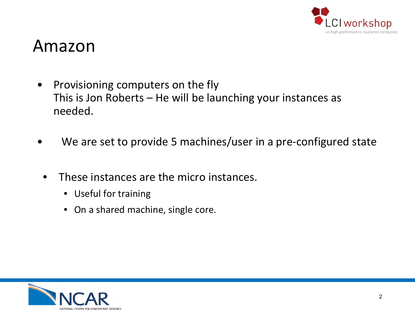

#### Amazon

- Provisioning computers on the fly This is Jon Roberts – He will be launching your instances as needed.
- We are set to provide 5 machines/user in a pre-configured state
- These instances are the micro instances.
	- Useful for training
	- On a shared machine, single core.

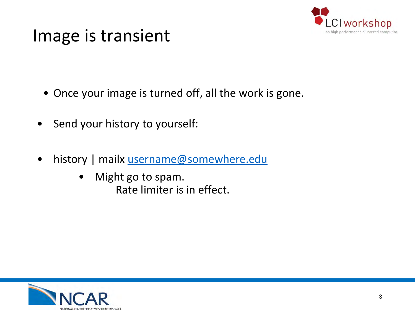

#### Image is transient

- Once your image is turned off, all the work is gone.
- Send your history to yourself:
- history | mailx [username@somewhere.edu](mailto:username@somewhere.edu)
	- Might go to spam. Rate limiter is in effect.

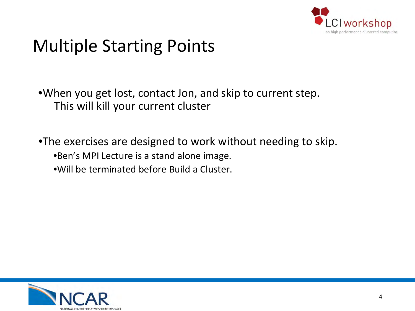

# Multiple Starting Points

•When you get lost, contact Jon, and skip to current step. This will kill your current cluster

•The exercises are designed to work without needing to skip.

- •Ben's MPI Lecture is a stand alone image.
- •Will be terminated before Build a Cluster.

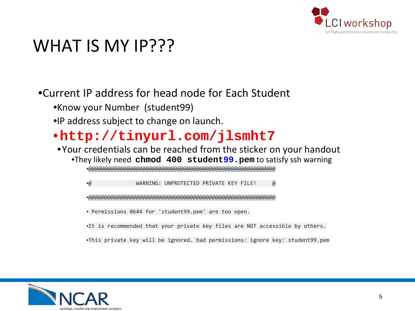

### WHAT IS MY IP???

#### •Current IP address for head node for Each Student

- •Know your Number (student99)
- •IP address subject to change on launch.

#### •**http://tinyurl.com/jlsmht7**

•Your credentials can be reached from the sticker on your handout •They likely need **chmod 400 student99.pem** to satisfy ssh warning

•@@@@@@@@@@@@@@@@@@@@@@@@@@@@@@@@@@@@@@@@@@@@@@@@@@@@@@@@@@@

•@ WARNING: UNPROTECTED PRIVATE KEY FILE! @

•@@@@@@@@@@@@@@@@@@@@@@@@@@@@@@@@@@@@@@@@@@@@@@@@@@@@@@@@@@@

• Permissions 0644 for 'student99.pem' are too open.

•It is recommended that your private key files are NOT accessible by others.

•This private key will be ignored. bad permissions: ignore key: student99.pem